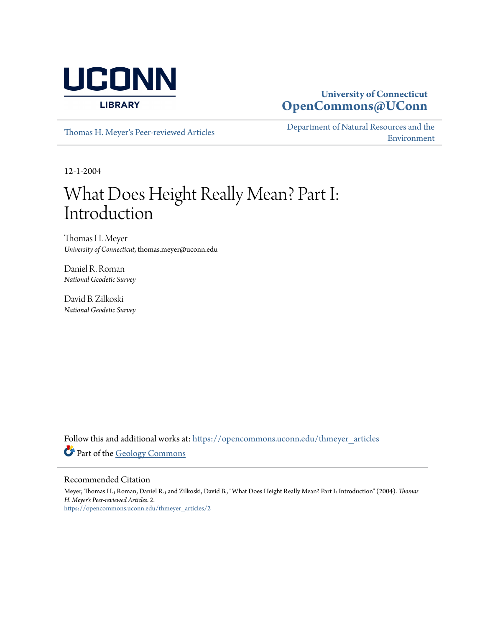

### **University of Connecticut [OpenCommons@UConn](https://opencommons.uconn.edu?utm_source=opencommons.uconn.edu%2Fthmeyer_articles%2F2&utm_medium=PDF&utm_campaign=PDFCoverPages)**

[Thomas H. Meyer's Peer-reviewed Articles](https://opencommons.uconn.edu/thmeyer_articles?utm_source=opencommons.uconn.edu%2Fthmeyer_articles%2F2&utm_medium=PDF&utm_campaign=PDFCoverPages)

[Department of Natural Resources and the](https://opencommons.uconn.edu/nrme?utm_source=opencommons.uconn.edu%2Fthmeyer_articles%2F2&utm_medium=PDF&utm_campaign=PDFCoverPages) [Environment](https://opencommons.uconn.edu/nrme?utm_source=opencommons.uconn.edu%2Fthmeyer_articles%2F2&utm_medium=PDF&utm_campaign=PDFCoverPages)

12-1-2004

# What Does Height Really Mean? Part I: Introduction

Thomas H. Meyer *University of Connecticut*, thomas.meyer@uconn.edu

Daniel R. Roman *National Geodetic Survey*

David B. Zilkoski *National Geodetic Survey*

Follow this and additional works at: [https://opencommons.uconn.edu/thmeyer\\_articles](https://opencommons.uconn.edu/thmeyer_articles?utm_source=opencommons.uconn.edu%2Fthmeyer_articles%2F2&utm_medium=PDF&utm_campaign=PDFCoverPages) Part of the [Geology Commons](http://network.bepress.com/hgg/discipline/156?utm_source=opencommons.uconn.edu%2Fthmeyer_articles%2F2&utm_medium=PDF&utm_campaign=PDFCoverPages)

#### Recommended Citation

Meyer, Thomas H.; Roman, Daniel R.; and Zilkoski, David B., "What Does Height Really Mean? Part I: Introduction" (2004). *Thomas H. Meyer's Peer-reviewed Articles*. 2. [https://opencommons.uconn.edu/thmeyer\\_articles/2](https://opencommons.uconn.edu/thmeyer_articles/2?utm_source=opencommons.uconn.edu%2Fthmeyer_articles%2F2&utm_medium=PDF&utm_campaign=PDFCoverPages)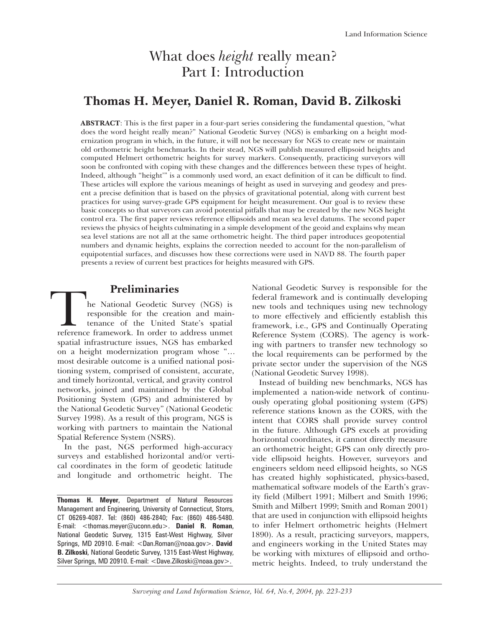# What does *height* really mean? Part I: Introduction

## **Thomas H. Meyer, Daniel R. Roman, David B. Zilkoski**

**ABSTRACT**: This is the first paper in a four-part series considering the fundamental question, "what does the word height really mean?" National Geodetic Survey (NGS) is embarking on a height modernization program in which, in the future, it will not be necessary for NGS to create new or maintain old orthometric height benchmarks. In their stead, NGS will publish measured ellipsoid heights and computed Helmert orthometric heights for survey markers. Consequently, practicing surveyors will soon be confronted with coping with these changes and the differences between these types of height. Indeed, although "height'" is a commonly used word, an exact definition of it can be difficult to find. These articles will explore the various meanings of height as used in surveying and geodesy and present a precise definition that is based on the physics of gravitational potential, along with current best practices for using survey-grade GPS equipment for height measurement. Our goal is to review these basic concepts so that surveyors can avoid potential pitfalls that may be created by the new NGS height control era. The first paper reviews reference ellipsoids and mean sea level datums. The second paper reviews the physics of heights culminating in a simple development of the geoid and explains why mean sea level stations are not all at the same orthometric height. The third paper introduces geopotential numbers and dynamic heights, explains the correction needed to account for the non-parallelism of equipotential surfaces, and discusses how these corrections were used in NAVD 88. The fourth paper presents a review of current best practices for heights measured with GPS.

**Preliminaries**<br>
he National Geodetic Survey (NGS) is<br>
responsible for the creation and main-<br>
tenance of the United State's spatial<br>
reference framework. In order to address unmet responsible for the creation and maintenance of the United State's spatial spatial infrastructure issues, NGS has embarked on a height modernization program whose "… most desirable outcome is a unified national positioning system, comprised of consistent, accurate, and timely horizontal, vertical, and gravity control networks, joined and maintained by the Global Positioning System (GPS) and administered by the National Geodetic Survey" (National Geodetic Survey 1998). As a result of this program, NGS is working with partners to maintain the National Spatial Reference System (NSRS).

In the past, NGS performed high-accuracy surveys and established horizontal and/or vertical coordinates in the form of geodetic latitude and longitude and orthometric height. The

**Thomas H. Meyer**, Department of Natural Resources Management and Engineering, University of Connecticut, Storrs, CT 06269-4087. Tel: (860) 486-2840; Fax: (860) 486-5480. E-mail: <thomas.meyer@uconn.edu>. **Daniel R. Roman**, National Geodetic Survey, 1315 East-West Highway, Silver Springs, MD 20910. E-mail: <Dan.Roman@noaa.gov>. **David B. Zilkoski**, National Geodetic Survey, 1315 East-West Highway, Silver Springs, MD 20910. E-mail: <Dave.Zilkoski@noaa.gov>.

National Geodetic Survey is responsible for the federal framework and is continually developing new tools and techniques using new technology to more effectively and efficiently establish this framework, i.e., GPS and Continually Operating Reference System (CORS). The agency is working with partners to transfer new technology so the local requirements can be performed by the private sector under the supervision of the NGS (National Geodetic Survey 1998).

Instead of building new benchmarks, NGS has implemented a nation-wide network of continuously operating global positioning system (GPS) reference stations known as the CORS, with the intent that CORS shall provide survey control in the future. Although GPS excels at providing horizontal coordinates, it cannot directly measure an orthometric height; GPS can only directly provide ellipsoid heights. However, surveyors and engineers seldom need ellipsoid heights, so NGS has created highly sophisticated, physics-based, mathematical software models of the Earth's gravity field (Milbert 1991; Milbert and Smith 1996; Smith and Milbert 1999; Smith and Roman 2001) that are used in conjunction with ellipsoid heights to infer Helmert orthometric heights (Helmert 1890). As a result, practicing surveyors, mappers, and engineers working in the United States may be working with mixtures of ellipsoid and orthometric heights. Indeed, to truly understand the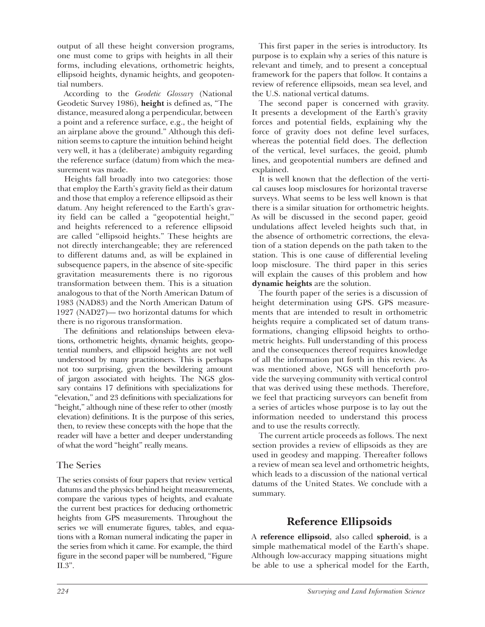output of all these height conversion programs, one must come to grips with heights in all their forms, including elevations, orthometric heights, ellipsoid heights, dynamic heights, and geopotential numbers.

According to the *Geodetic Glossary* (National Geodetic Survey 1986), **height** is defined as, "The distance, measured along a perpendicular, between a point and a reference surface, e.g., the height of an airplane above the ground." Although this definition seems to capture the intuition behind height very well, it has a (deliberate) ambiguity regarding the reference surface (datum) from which the measurement was made.

Heights fall broadly into two categories: those that employ the Earth's gravity field as their datum and those that employ a reference ellipsoid as their datum. Any height referenced to the Earth's gravity field can be called a "geopotential height,'' and heights referenced to a reference ellipsoid are called "ellipsoid heights." These heights are not directly interchangeable; they are referenced to different datums and, as will be explained in subsequence papers, in the absence of site-specific gravitation measurements there is no rigorous transformation between them. This is a situation analogous to that of the North American Datum of 1983 (NAD83) and the North American Datum of 1927 (NAD27)— two horizontal datums for which there is no rigorous transformation.

The definitions and relationships between elevations, orthometric heights, dynamic heights, geopotential numbers, and ellipsoid heights are not well understood by many practitioners. This is perhaps not too surprising, given the bewildering amount of jargon associated with heights. The NGS glossary contains 17 definitions with specializations for "elevation," and 23 definitions with specializations for "height," although nine of these refer to other (mostly elevation) definitions. It is the purpose of this series, then, to review these concepts with the hope that the reader will have a better and deeper understanding of what the word "height" really means.

#### The Series

The series consists of four papers that review vertical datums and the physics behind height measurements, compare the various types of heights, and evaluate the current best practices for deducing orthometric heights from GPS measurements. Throughout the series we will enumerate figures, tables, and equations with a Roman numeral indicating the paper in the series from which it came. For example, the third figure in the second paper will be numbered, "Figure II.3".

This first paper in the series is introductory. Its purpose is to explain why a series of this nature is relevant and timely, and to present a conceptual framework for the papers that follow. It contains a review of reference ellipsoids, mean sea level, and the U.S. national vertical datums.

The second paper is concerned with gravity. It presents a development of the Earth's gravity forces and potential fields, explaining why the force of gravity does not define level surfaces, whereas the potential field does. The deflection of the vertical, level surfaces, the geoid, plumb lines, and geopotential numbers are defined and explained.

It is well known that the deflection of the vertical causes loop misclosures for horizontal traverse surveys. What seems to be less well known is that there is a similar situation for orthometric heights. As will be discussed in the second paper, geoid undulations affect leveled heights such that, in the absence of orthometric corrections, the elevation of a station depends on the path taken to the station. This is one cause of differential leveling loop misclosure. The third paper in this series will explain the causes of this problem and how **dynamic heights** are the solution.

The fourth paper of the series is a discussion of height determination using GPS. GPS measurements that are intended to result in orthometric heights require a complicated set of datum transformations, changing ellipsoid heights to orthometric heights. Full understanding of this process and the consequences thereof requires knowledge of all the information put forth in this review. As was mentioned above, NGS will henceforth provide the surveying community with vertical control that was derived using these methods. Therefore, we feel that practicing surveyors can benefit from a series of articles whose purpose is to lay out the information needed to understand this process and to use the results correctly.

The current article proceeds as follows. The next section provides a review of ellipsoids as they are used in geodesy and mapping. Thereafter follows a review of mean sea level and orthometric heights, which leads to a discussion of the national vertical datums of the United States. We conclude with a summary.

# **Reference Ellipsoids**

A **reference ellipsoid**, also called **spheroid**, is a simple mathematical model of the Earth's shape. Although low-accuracy mapping situations might be able to use a spherical model for the Earth,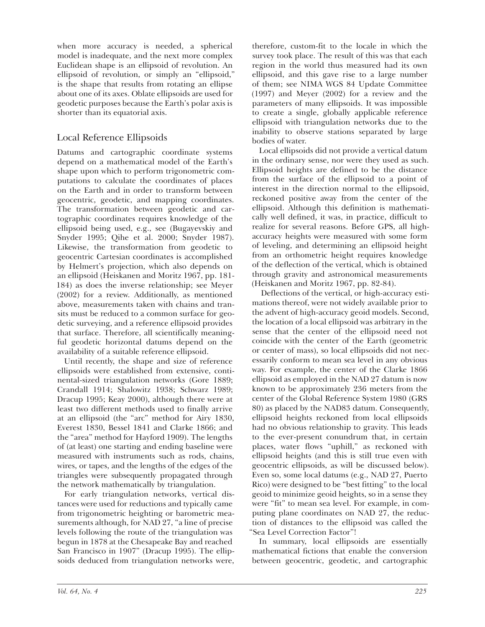when more accuracy is needed, a spherical model is inadequate, and the next more complex Euclidean shape is an ellipsoid of revolution. An ellipsoid of revolution, or simply an "ellipsoid," is the shape that results from rotating an ellipse about one of its axes. Oblate ellipsoids are used for geodetic purposes because the Earth's polar axis is shorter than its equatorial axis.

#### Local Reference Ellipsoids

Datums and cartographic coordinate systems depend on a mathematical model of the Earth's shape upon which to perform trigonometric computations to calculate the coordinates of places on the Earth and in order to transform between geocentric, geodetic, and mapping coordinates. The transformation between geodetic and cartographic coordinates requires knowledge of the ellipsoid being used, e.g., see (Bugayevskiy and Snyder 1995; Qihe et al. 2000; Snyder 1987). Likewise, the transformation from geodetic to geocentric Cartesian coordinates is accomplished by Helmert's projection, which also depends on an ellipsoid (Heiskanen and Moritz 1967, pp. 181- 184) as does the inverse relationship; see Meyer (2002) for a review. Additionally, as mentioned above, measurements taken with chains and transits must be reduced to a common surface for geodetic surveying, and a reference ellipsoid provides that surface. Therefore, all scientifically meaningful geodetic horizontal datums depend on the availability of a suitable reference ellipsoid.

Until recently, the shape and size of reference ellipsoids were established from extensive, continental-sized triangulation networks (Gore 1889; Crandall 1914; Shalowitz 1938; Schwarz 1989; Dracup 1995; Keay 2000), although there were at least two different methods used to finally arrive at an ellipsoid (the "arc" method for Airy 1830, Everest 1830, Bessel 1841 and Clarke 1866; and the "area" method for Hayford 1909). The lengths of (at least) one starting and ending baseline were measured with instruments such as rods, chains, wires, or tapes, and the lengths of the edges of the triangles were subsequently propagated through the network mathematically by triangulation.

For early triangulation networks, vertical distances were used for reductions and typically came from trigonometric heighting or barometric measurements although, for NAD 27, "a line of precise levels following the route of the triangulation was begun in 1878 at the Chesapeake Bay and reached San Francisco in 1907" (Dracup 1995). The ellipsoids deduced from triangulation networks were,

therefore, custom-fit to the locale in which the survey took place. The result of this was that each region in the world thus measured had its own ellipsoid, and this gave rise to a large number of them; see NIMA WGS 84 Update Committee (1997) and Meyer (2002) for a review and the parameters of many ellipsoids. It was impossible to create a single, globally applicable reference ellipsoid with triangulation networks due to the inability to observe stations separated by large bodies of water.

Local ellipsoids did not provide a vertical datum in the ordinary sense, nor were they used as such. Ellipsoid heights are defined to be the distance from the surface of the ellipsoid to a point of interest in the direction normal to the ellipsoid, reckoned positive away from the center of the ellipsoid. Although this definition is mathematically well defined, it was, in practice, difficult to realize for several reasons. Before GPS, all highaccuracy heights were measured with some form of leveling, and determining an ellipsoid height from an orthometric height requires knowledge of the deflection of the vertical, which is obtained through gravity and astronomical measurements (Heiskanen and Moritz 1967, pp. 82-84).

 Deflections of the vertical, or high-accuracy estimations thereof, were not widely available prior to the advent of high-accuracy geoid models. Second, the location of a local ellipsoid was arbitrary in the sense that the center of the ellipsoid need not coincide with the center of the Earth (geometric or center of mass), so local ellipsoids did not necessarily conform to mean sea level in any obvious way. For example, the center of the Clarke 1866 ellipsoid as employed in the NAD 27 datum is now known to be approximately 236 meters from the center of the Global Reference System 1980 (GRS 80) as placed by the NAD83 datum. Consequently, ellipsoid heights reckoned from local ellipsoids had no obvious relationship to gravity. This leads to the ever-present conundrum that, in certain places, water flows "uphill," as reckoned with ellipsoid heights (and this is still true even with geocentric ellipsoids, as will be discussed below). Even so, some local datums (e.g., NAD 27, Puerto Rico) were designed to be "best fitting" to the local geoid to minimize geoid heights, so in a sense they were "fit" to mean sea level. For example, in computing plane coordinates on NAD 27, the reduction of distances to the ellipsoid was called the "Sea Level Correction Factor"!

In summary, local ellipsoids are essentially mathematical fictions that enable the conversion between geocentric, geodetic, and cartographic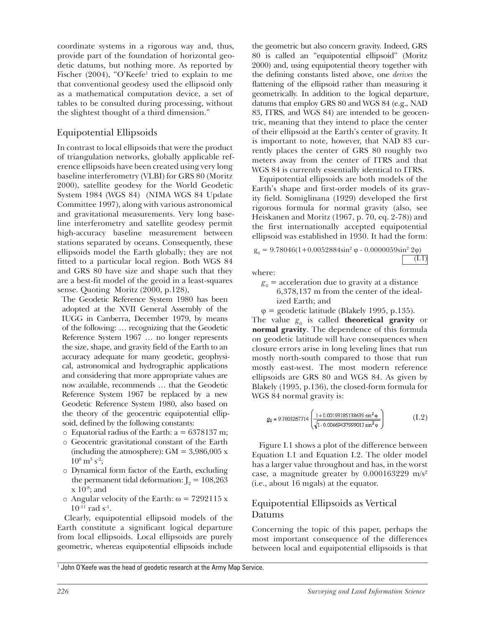coordinate systems in a rigorous way and, thus, provide part of the foundation of horizontal geodetic datums, but nothing more. As reported by Fischer (2004), "O'Keefe<sup>1</sup> tried to explain to me that conventional geodesy used the ellipsoid only as a mathematical computation device, a set of tables to be consulted during processing, without the slightest thought of a third dimension."

#### Equipotential Ellipsoids

In contrast to local ellipsoids that were the product of triangulation networks, globally applicable reference ellipsoids have been created using very long baseline interferometry (VLBI) for GRS 80 (Moritz 2000), satellite geodesy for the World Geodetic System 1984 (WGS 84) (NIMA WGS 84 Update Committee 1997), along with various astronomical and gravitational measurements. Very long baseline interferometry and satellite geodesy permit high-accuracy baseline measurement between stations separated by oceans. Consequently, these ellipsoids model the Earth globally; they are not fitted to a particular local region. Both WGS 84 and GRS 80 have size and shape such that they are a best-fit model of the geoid in a least-squares sense. Quoting Moritz (2000, p.128),

The Geodetic Reference System 1980 has been adopted at the XVII General Assembly of the IUGG in Canberra, December 1979, by means of the following: … recognizing that the Geodetic Reference System 1967 … no longer represents the size, shape, and gravity field of the Earth to an accuracy adequate for many geodetic, geophysical, astronomical and hydrographic applications and considering that more appropriate values are now available, recommends … that the Geodetic Reference System 1967 be replaced by a new Geodetic Reference System 1980, also based on the theory of the geocentric equipotential ellipsoid, defined by the following constants:

- $\circ$  Equatorial radius of the Earth: a = 6378137 m;
- o Geocentric gravitational constant of the Earth (including the atmosphere):  $GM = 3,986,005$  x  $10^8$  m<sup>3</sup> s<sup>-2</sup>;
- o Dynamical form factor of the Earth, excluding the permanent tidal deformation:  $J_2 = 108,263$  $x 10^{-8}$ ; and
- o Angular velocity of the Earth:  $\omega = 7292115 \text{ x}$  $10^{-11}$  rad s<sup>-1</sup>.

Clearly, equipotential ellipsoid models of the Earth constitute a significant logical departure from local ellipsoids. Local ellipsoids are purely geometric, whereas equipotential ellipsoids include

the geometric but also concern gravity. Indeed, GRS 80 is called an "equipotential ellipsoid" (Moritz 2000) and, using equipotential theory together with the defining constants listed above, one *derives* the flattening of the ellipsoid rather than measuring it geometrically. In addition to the logical departure, datums that employ GRS 80 and WGS 84 (e.g., NAD 83, ITRS, and WGS 84) are intended to be geocentric, meaning that they intend to place the center of their ellipsoid at the Earth's center of gravity. It is important to note, however, that NAD 83 currently places the center of GRS 80 roughly two meters away from the center of ITRS and that WGS 84 is currently essentially identical to ITRS.

Equipotential ellipsoids are both models of the Earth's shape and first-order models of its gravity field. Somiglinana (1929) developed the first rigorous formula for normal gravity (also, see Heiskanen and Moritz (1967, p. 70, eq. 2-78)) and the first internationally accepted equipotential ellipsoid was established in 1930. It had the form:

$$
g_0 = 9.78046(1 + 0.0052884 \sin^2 \phi - 0.0000059 \sin^2 2\phi)
$$
 (I.1)

where:

 $g_{0}$  = acceleration due to gravity at a distance 6,378,137 m from the center of the ideal ized Earth; and

 $\varphi$  = geodetic latitude (Blakely 1995, p.135). The value  $g_0$  is called **theoretical gravity** or **normal gravity**. The dependence of this formula on geodetic latitude will have consequences when closure errors arise in long leveling lines that run mostly north-south compared to those that run mostly east-west. The most modern reference ellipsoids are GRS 80 and WGS 84. As given by Blakely (1995, p.136), the closed-form formula for WGS 84 normal gravity is:

$$
g_0 = 9.7803267714 \left( \frac{1 + 0.00193185138639 \sin^2 \varphi}{\sqrt{1 - 0.00669437999013 \sin^2 \varphi}} \right) \tag{I.2}
$$

Figure I.1 shows a plot of the difference between Equation I.1 and Equation I.2. The older model has a larger value throughout and has, in the worst case, a magnitude greater by  $0.000163229$  m/s<sup>2</sup> (i.e., about 16 mgals) at the equator.

#### Equipotential Ellipsoids as Vertical Datums

Concerning the topic of this paper, perhaps the most important consequence of the differences between local and equipotential ellipsoids is that

<sup>&</sup>lt;sup>1</sup> John O'Keefe was the head of geodetic research at the Army Map Service.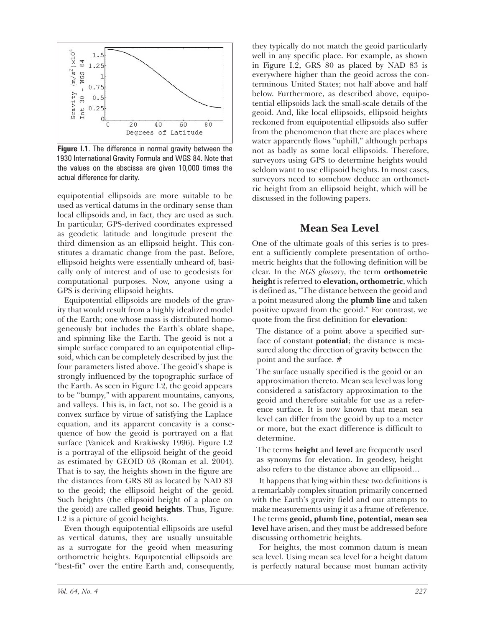

**Figure I.1**. The difference in normal gravity between the 1930 International Gravity Formula and WGS 84. Note that the values on the abscissa are given 10,000 times the actual difference for clarity.

equipotential ellipsoids are more suitable to be used as vertical datums in the ordinary sense than local ellipsoids and, in fact, they are used as such. In particular, GPS-derived coordinates expressed as geodetic latitude and longitude present the third dimension as an ellipsoid height. This constitutes a dramatic change from the past. Before, ellipsoid heights were essentially unheard of, basically only of interest and of use to geodesists for computational purposes. Now, anyone using a GPS is deriving ellipsoid heights.

Equipotential ellipsoids are models of the gravity that would result from a highly idealized model of the Earth; one whose mass is distributed homogeneously but includes the Earth's oblate shape, and spinning like the Earth. The geoid is not a simple surface compared to an equipotential ellipsoid, which can be completely described by just the four parameters listed above. The geoid's shape is strongly influenced by the topographic surface of the Earth. As seen in Figure I.2, the geoid appears to be "bumpy," with apparent mountains, canyons, and valleys. This is, in fact, not so. The geoid is a convex surface by virtue of satisfying the Laplace equation, and its apparent concavity is a consequence of how the geoid is portrayed on a flat surface (Vanicek and Krakiwsky 1996). Figure I.2 is a portrayal of the ellipsoid height of the geoid as estimated by GEOID 03 (Roman et al. 2004). That is to say, the heights shown in the figure are the distances from GRS 80 as located by NAD 83 to the geoid; the ellipsoid height of the geoid. Such heights (the ellipsoid height of a place on the geoid) are called **geoid heights**. Thus, Figure. I.2 is a picture of geoid heights.

Even though equipotential ellipsoids are useful as vertical datums, they are usually unsuitable as a surrogate for the geoid when measuring orthometric heights. Equipotential ellipsoids are "best-fit" over the entire Earth and, consequently, they typically do not match the geoid particularly well in any specific place. For example, as shown in Figure I.2, GRS 80 as placed by NAD 83 is everywhere higher than the geoid across the conterminous United States; not half above and half below. Furthermore, as described above, equipotential ellipsoids lack the small-scale details of the geoid. And, like local ellipsoids, ellipsoid heights reckoned from equipotential ellipsoids also suffer from the phenomenon that there are places where water apparently flows "uphill," although perhaps not as badly as some local ellipsoids. Therefore, surveyors using GPS to determine heights would seldom want to use ellipsoid heights. In most cases, surveyors need to somehow deduce an orthometric height from an ellipsoid height, which will be discussed in the following papers.

#### **Mean Sea Level**

One of the ultimate goals of this series is to present a sufficiently complete presentation of orthometric heights that the following definition will be clear. In the *NGS glossary*, the term **orthometric height** is referred to **elevation, orthometric**, which is defined as, "The distance between the geoid and a point measured along the **plumb line** and taken positive upward from the geoid." For contrast, we quote from the first definition for **elevation**:

The distance of a point above a specified surface of constant **potential**; the distance is measured along the direction of gravity between the point and the surface. #

The surface usually specified is the geoid or an approximation thereto. Mean sea level was long considered a satisfactory approximation to the geoid and therefore suitable for use as a reference surface. It is now known that mean sea level can differ from the geoid by up to a meter or more, but the exact difference is difficult to determine.

The terms **height** and **level** are frequently used as synonyms for elevation. In geodesy, height also refers to the distance above an ellipsoid…

It happens that lying within these two definitions is a remarkably complex situation primarily concerned with the Earth's gravity field and our attempts to make measurements using it as a frame of reference. The terms **geoid, plumb line, potential, mean sea level** have arisen, and they must be addressed before discussing orthometric heights.

For heights, the most common datum is mean sea level. Using mean sea level for a height datum is perfectly natural because most human activity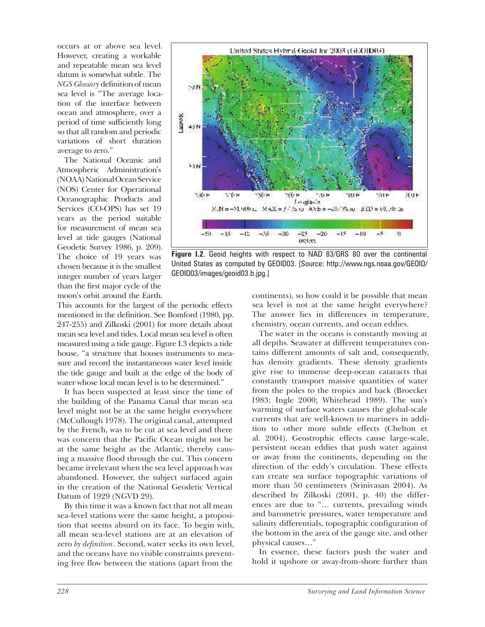occurs at or above sea level. However, creating a workable and repeatable mean sea level datum is somewhat subtle. The *NGS Glossary* definition of mean sea level is "The average location of the interface between ocean and atmosphere, over a period of time sufficiently long so that all random and periodic variations of short duration average to zero."

The National Oceanic and Atmospheric Administration's (NOAA) National Ocean Service (NOS) Center for Operational Oceanographic Products and Services (CO-OPS) has set 19 years as the period suitable for measurement of mean sea level at tide gauges (National Geodetic Survey 1986, p. 209). The choice of 19 years was chosen because it is the smallest integer number of years larger than the first major cycle of the moon's orbit around the Earth.

This accounts for the largest of the periodic effects mentioned in the definition. See Bomford (1980, pp. 247-255) and Zilkoski (2001) for more details about mean sea level and tides. Local mean sea level is often measured using a tide gauge. Figure I.3 depicts a tide house, "a structure that houses instruments to measure and record the instantaneous water level inside the tide gauge and built at the edge of the body of water whose local mean level is to be determined."

It has been suspected at least since the time of the building of the Panama Canal that mean sea level might not be at the same height everywhere (McCullough 1978). The original canal, attempted by the French, was to be cut at sea level and there was concern that the Pacific Ocean might not be at the same height as the Atlantic, thereby causing a massive flood through the cut. This concern became irrelevant when the sea level approach was abandoned. However, the subject surfaced again in the creation of the National Geodetic Vertical Datum of 1929 (NGVD 29).

By this time it was a known fact that not all mean sea-level stations were the same height, a proposition that seems absurd on its face. To begin with, all mean sea-level stations are at an elevation of zero *by definition*. Second, water seeks its own level, and the oceans have no visible constraints preventing free flow between the stations (apart from the



**Figure I.2**. Geoid heights with respect to NAD 83/GRS 80 over the continental United States as computed by GEOID03. [Source: http://www.ngs.noaa.gov/GEOID/ GEOID03/images/geoid03.b.jpg.]

continents), so how could it be possible that mean sea level is not at the same height everywhere? The answer lies in differences in temperature, chemistry, ocean currents, and ocean eddies.

The water in the oceans is constantly moving at all depths. Seawater at different temperatures contains different amounts of salt and, consequently, has density gradients. These density gradients give rise to immense deep-ocean cataracts that constantly transport massive quantities of water from the poles to the tropics and back (Broecker 1983; Ingle 2000; Whitehead 1989). The sun's warming of surface waters causes the global-scale currents that are well-known to mariners in addition to other more subtle effects (Chelton et al. 2004). Geostrophic effects cause large-scale, persistent ocean eddies that push water against or away from the continents, depending on the direction of the eddy's circulation. These effects can create sea surface topographic variations of more than 50 centimeters (Srinivasan 2004). As described by Zilkoski (2001, p. 40) the differences are due to "… currents, prevailing winds and barometric pressures, water temperature and salinity differentials, topographic configuration of the bottom in the area of the gauge site, and other physical causes…"

In essence, these factors push the water and hold it upshore or away-from-shore further than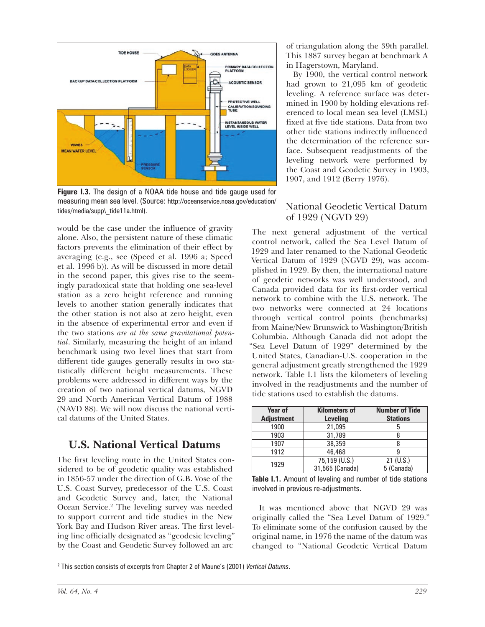

**Figure I.3.** The design of a NOAA tide house and tide gauge used for measuring mean sea level. (Source: http://oceanservice.noaa.gov/education/ tides/media/supp\\_tide11a.html).

would be the case under the influence of gravity alone. Also, the persistent nature of these climatic factors prevents the elimination of their effect by averaging (e.g., see (Speed et al. 1996 a; Speed et al. 1996 b)). As will be discussed in more detail in the second paper, this gives rise to the seemingly paradoxical state that holding one sea-level station as a zero height reference and running levels to another station generally indicates that the other station is not also at zero height, even in the absence of experimental error and even if the two stations *are at the same gravitational potential*. Similarly, measuring the height of an inland benchmark using two level lines that start from different tide gauges generally results in two statistically different height measurements. These problems were addressed in different ways by the creation of two national vertical datums, NGVD 29 and North American Vertical Datum of 1988 (NAVD 88). We will now discuss the national vertical datums of the United States.

#### **U.S. National Vertical Datums**

The first leveling route in the United States considered to be of geodetic quality was established in 1856-57 under the direction of G.B. Vose of the U.S. Coast Survey, predecessor of the U.S. Coast and Geodetic Survey and, later, the National Ocean Service.<sup>2</sup> The leveling survey was needed to support current and tide studies in the New York Bay and Hudson River areas. The first leveling line officially designated as "geodesic leveling" by the Coast and Geodetic Survey followed an arc

of triangulation along the 39th parallel. This 1887 survey began at benchmark A in Hagerstown, Maryland.

By 1900, the vertical control network had grown to 21,095 km of geodetic leveling. A reference surface was determined in 1900 by holding elevations referenced to local mean sea level (LMSL) fixed at five tide stations. Data from two other tide stations indirectly influenced the determination of the reference surface. Subsequent readjustments of the leveling network were performed by the Coast and Geodetic Survey in 1903, 1907, and 1912 (Berry 1976).

#### National Geodetic Vertical Datum of 1929 (NGVD 29)

The next general adjustment of the vertical control network, called the Sea Level Datum of 1929 and later renamed to the National Geodetic Vertical Datum of 1929 (NGVD 29), was accomplished in 1929. By then, the international nature of geodetic networks was well understood, and Canada provided data for its first-order vertical network to combine with the U.S. network. The two networks were connected at 24 locations through vertical control points (benchmarks) from Maine/New Brunswick to Washington/British Columbia. Although Canada did not adopt the "Sea Level Datum of 1929" determined by the United States, Canadian-U.S. cooperation in the general adjustment greatly strengthened the 1929 network. Table I.1 lists the kilometers of leveling involved in the readjustments and the number of tide stations used to establish the datums.

| <b>Year of</b><br><b>Adjustment</b> | <b>Kilometers of</b><br><b>Leveling</b> | <b>Number of Tide</b><br><b>Stations</b> |
|-------------------------------------|-----------------------------------------|------------------------------------------|
| 1900                                | 21,095                                  | b                                        |
| 1903                                | 31.789                                  |                                          |
| 1907                                | 38,359                                  |                                          |
| 1912                                | 46,468                                  |                                          |
| 1929                                | 75,159 (U.S.)                           | 21 (U.S.)                                |
|                                     | 31,565 (Canada)                         | 5 (Canada)                               |

**Table I.1.** Amount of leveling and number of tide stations involved in previous re-adjustments.

It was mentioned above that NGVD 29 was originally called the "Sea Level Datum of 1929." To eliminate some of the confusion caused by the original name, in 1976 the name of the datum was changed to "National Geodetic Vertical Datum

2 This section consists of excerpts from Chapter 2 of Maune's (2001) *Vertical Datums*.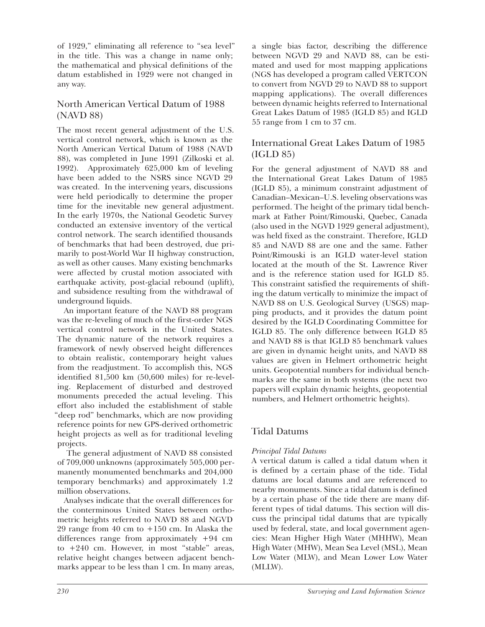of 1929," eliminating all reference to "sea level" in the title. This was a change in name only; the mathematical and physical definitions of the datum established in 1929 were not changed in any way.

#### North American Vertical Datum of 1988 (NAVD 88)

The most recent general adjustment of the U.S. vertical control network, which is known as the North American Vertical Datum of 1988 (NAVD 88), was completed in June 1991 (Zilkoski et al. 1992). Approximately 625,000 km of leveling have been added to the NSRS since NGVD 29 was created. In the intervening years, discussions were held periodically to determine the proper time for the inevitable new general adjustment. In the early 1970s, the National Geodetic Survey conducted an extensive inventory of the vertical control network. The search identified thousands of benchmarks that had been destroyed, due primarily to post-World War II highway construction, as well as other causes. Many existing benchmarks were affected by crustal motion associated with earthquake activity, post-glacial rebound (uplift), and subsidence resulting from the withdrawal of underground liquids.

An important feature of the NAVD 88 program was the re-leveling of much of the first-order NGS vertical control network in the United States. The dynamic nature of the network requires a framework of newly observed height differences to obtain realistic, contemporary height values from the readjustment. To accomplish this, NGS identified 81,500 km (50,600 miles) for re-leveling. Replacement of disturbed and destroyed monuments preceded the actual leveling. This effort also included the establishment of stable "deep rod" benchmarks, which are now providing reference points for new GPS-derived orthometric height projects as well as for traditional leveling projects.

 The general adjustment of NAVD 88 consisted of 709,000 unknowns (approximately 505,000 permanently monumented benchmarks and 204,000 temporary benchmarks) and approximately 1.2 million observations.

Analyses indicate that the overall differences for the conterminous United States between orthometric heights referred to NAVD 88 and NGVD 29 range from 40 cm to +150 cm. In Alaska the differences range from approximately +94 cm to +240 cm. However, in most "stable" areas, relative height changes between adjacent benchmarks appear to be less than 1 cm. In many areas,

a single bias factor, describing the difference between NGVD 29 and NAVD 88, can be estimated and used for most mapping applications (NGS has developed a program called VERTCON to convert from NGVD 29 to NAVD 88 to support mapping applications). The overall differences between dynamic heights referred to International Great Lakes Datum of 1985 (IGLD 85) and IGLD 55 range from 1 cm to 37 cm.

#### International Great Lakes Datum of 1985 (IGLD 85)

For the general adjustment of NAVD 88 and the International Great Lakes Datum of 1985 (IGLD 85), a minimum constraint adjustment of Canadian–Mexican–U.S. leveling observations was performed. The height of the primary tidal benchmark at Father Point/Rimouski, Quebec, Canada (also used in the NGVD 1929 general adjustment), was held fixed as the constraint. Therefore, IGLD 85 and NAVD 88 are one and the same. Father Point/Rimouski is an IGLD water-level station located at the mouth of the St. Lawrence River and is the reference station used for IGLD 85. This constraint satisfied the requirements of shifting the datum vertically to minimize the impact of NAVD 88 on U.S. Geological Survey (USGS) mapping products, and it provides the datum point desired by the IGLD Coordinating Committee for IGLD 85. The only difference between IGLD 85 and NAVD 88 is that IGLD 85 benchmark values are given in dynamic height units, and NAVD 88 values are given in Helmert orthometric height units. Geopotential numbers for individual benchmarks are the same in both systems (the next two papers will explain dynamic heights, geopotential numbers, and Helmert orthometric heights).

#### Tidal Datums

#### *Principal Tidal Datums*

A vertical datum is called a tidal datum when it is defined by a certain phase of the tide. Tidal datums are local datums and are referenced to nearby monuments. Since a tidal datum is defined by a certain phase of the tide there are many different types of tidal datums. This section will discuss the principal tidal datums that are typically used by federal, state, and local government agencies: Mean Higher High Water (MHHW), Mean High Water (MHW), Mean Sea Level (MSL), Mean Low Water (MLW), and Mean Lower Low Water (MLLW).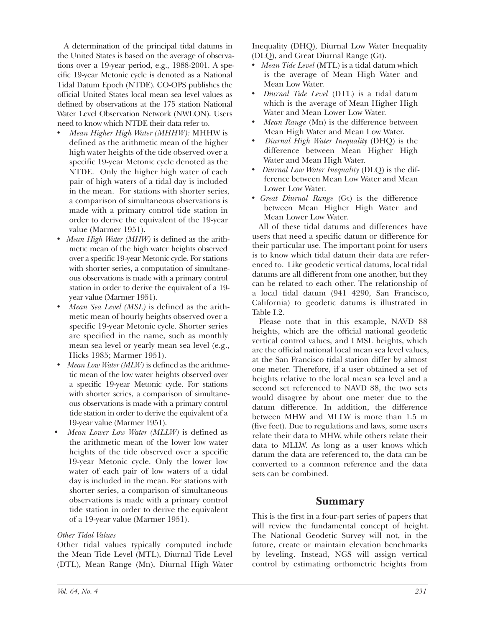A determination of the principal tidal datums in the United States is based on the average of observations over a 19-year period, e.g., 1988-2001. A specific 19-year Metonic cycle is denoted as a National Tidal Datum Epoch (NTDE). CO-OPS publishes the official United States local mean sea level values as defined by observations at the 175 station National Water Level Observation Network (NWLON). Users need to know which NTDE their data refer to.

- *Mean Higher High Water (MHHW):* MHHW is defined as the arithmetic mean of the higher high water heights of the tide observed over a specific 19-year Metonic cycle denoted as the NTDE. Only the higher high water of each pair of high waters of a tidal day is included in the mean. For stations with shorter series, a comparison of simultaneous observations is made with a primary control tide station in order to derive the equivalent of the 19-year value (Marmer 1951).
- *Mean High Water (MHW)* is defined as the arithmetic mean of the high water heights observed over a specific 19-year Metonic cycle. For stations with shorter series, a computation of simultaneous observations is made with a primary control station in order to derive the equivalent of a 19 year value (Marmer 1951).
- *Mean Sea Level (MSL)* is defined as the arithmetic mean of hourly heights observed over a specific 19-year Metonic cycle. Shorter series are specified in the name, such as monthly mean sea level or yearly mean sea level (e.g., Hicks 1985; Marmer 1951).
- *Mean Low Water (MLW)* is defined as the arithmetic mean of the low water heights observed over a specific 19-year Metonic cycle. For stations with shorter series, a comparison of simultaneous observations is made with a primary control tide station in order to derive the equivalent of a 19-year value (Marmer 1951).
- *Mean Lower Low Water (MLLW)* is defined as the arithmetic mean of the lower low water heights of the tide observed over a specific 19-year Metonic cycle. Only the lower low water of each pair of low waters of a tidal day is included in the mean. For stations with shorter series, a comparison of simultaneous observations is made with a primary control tide station in order to derive the equivalent of a 19-year value (Marmer 1951).

#### *Other Tidal Values*

Other tidal values typically computed include the Mean Tide Level (MTL), Diurnal Tide Level (DTL), Mean Range (Mn), Diurnal High Water

Inequality (DHQ), Diurnal Low Water Inequality (DLQ), and Great Diurnal Range (Gt).

- *Mean Tide Level* (MTL) is a tidal datum which is the average of Mean High Water and Mean Low Water.
- *Diurnal Tide Level* (DTL) is a tidal datum which is the average of Mean Higher High Water and Mean Lower Low Water.
- *Mean Range* (Mn) is the difference between Mean High Water and Mean Low Water.
- *Diurnal High Water Inequality* (DHQ) is the difference between Mean Higher High Water and Mean High Water.
- *Diurnal Low Water Inequality* (DLQ) is the difference between Mean Low Water and Mean Lower Low Water.
- *Great Diurnal Range* (Gt) is the difference between Mean Higher High Water and Mean Lower Low Water.

All of these tidal datums and differences have users that need a specific datum or difference for their particular use. The important point for users is to know which tidal datum their data are referenced to. Like geodetic vertical datums, local tidal datums are all different from one another, but they can be related to each other. The relationship of a local tidal datum (941 4290, San Francisco, California) to geodetic datums is illustrated in Table I.2.

Please note that in this example, NAVD 88 heights, which are the official national geodetic vertical control values, and LMSL heights, which are the official national local mean sea level values, at the San Francisco tidal station differ by almost one meter. Therefore, if a user obtained a set of heights relative to the local mean sea level and a second set referenced to NAVD 88, the two sets would disagree by about one meter due to the datum difference. In addition, the difference between MHW and MLLW is more than 1.5 m (five feet). Due to regulations and laws, some users relate their data to MHW, while others relate their data to MLLW. As long as a user knows which datum the data are referenced to, the data can be converted to a common reference and the data sets can be combined.

#### **Summary**

This is the first in a four-part series of papers that will review the fundamental concept of height. The National Geodetic Survey will not, in the future, create or maintain elevation benchmarks by leveling. Instead, NGS will assign vertical control by estimating orthometric heights from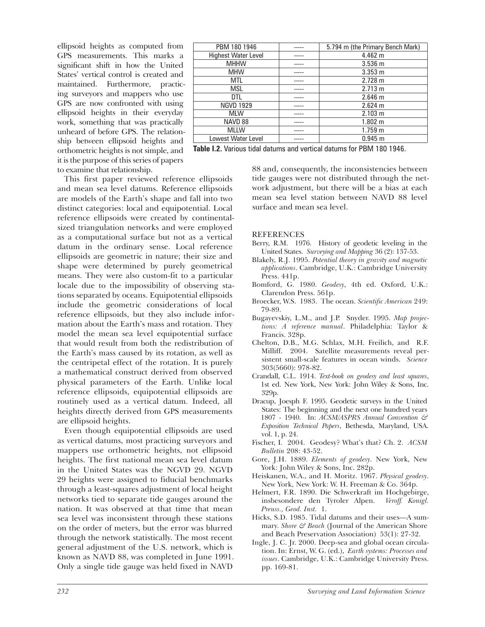ellipsoid heights as computed from GPS measurements. This marks a significant shift in how the United States' vertical control is created and maintained. Furthermore, practicing surveyors and mappers who use GPS are now confronted with using ellipsoid heights in their everyday work, something that was practically unheard of before GPS. The relationship between ellipsoid heights and orthometric heights is not simple, and it is the purpose of this series of papers to examine that relationship.

| PBM 180 1946               | 5.794 m (the Primary Bench Mark) |
|----------------------------|----------------------------------|
| <b>Highest Water Level</b> | 4.462 m                          |
| <b>MHHW</b>                | 3.536 m                          |
| <b>MHW</b>                 | $3.353 \text{ m}$                |
| MTL                        | 2.728 m                          |
| <b>MSL</b>                 | 2.713 m                          |
| DTL                        | 2.646 m                          |
| <b>NGVD 1929</b>           | 2.624 m                          |
| <b>MLW</b>                 | 2.103 m                          |
| NAVD 88                    | $1.802 \; m$                     |
| <b>MLLW</b>                | 1.759 m                          |
| Lowest Water Level         | 0.945 m                          |

**Table I.2.** Various tidal datums and vertical datums for PBM 180 1946.

This first paper reviewed reference ellipsoids and mean sea level datums. Reference ellipsoids are models of the Earth's shape and fall into two distinct categories: local and equipotential. Local reference ellipsoids were created by continentalsized triangulation networks and were employed as a computational surface but not as a vertical datum in the ordinary sense. Local reference ellipsoids are geometric in nature; their size and shape were determined by purely geometrical means. They were also custom-fit to a particular locale due to the impossibility of observing stations separated by oceans. Equipotential ellipsoids include the geometric considerations of local reference ellipsoids, but they also include information about the Earth's mass and rotation. They model the mean sea level equipotential surface that would result from both the redistribution of the Earth's mass caused by its rotation, as well as the centripetal effect of the rotation. It is purely a mathematical construct derived from observed physical parameters of the Earth. Unlike local reference ellipsoids, equipotential ellipsoids are routinely used as a vertical datum. Indeed, all heights directly derived from GPS measurements are ellipsoid heights.

Even though equipotential ellipsoids are used as vertical datums, most practicing surveyors and mappers use orthometric heights, not ellipsoid heights. The first national mean sea level datum in the United States was the NGVD 29. NGVD 29 heights were assigned to fiducial benchmarks through a least-squares adjustment of local height networks tied to separate tide gauges around the nation. It was observed at that time that mean sea level was inconsistent through these stations on the order of meters, but the error was blurred through the network statistically. The most recent general adjustment of the U.S. network, which is known as NAVD 88, was completed in June 1991. Only a single tide gauge was held fixed in NAVD

88 and, consequently, the inconsistencies between tide gauges were not distributed through the network adjustment, but there will be a bias at each mean sea level station between NAVD 88 level surface and mean sea level.

#### **REFERENCES**

- Berry, R.M. 1976. History of geodetic leveling in the United States. *Surveying and Mapping* 36 (2): 137-53.
- Blakely, R.J. 1995. *Potential theory in gravity and magnetic applications*. Cambridge, U.K.: Cambridge University Press. 441p.
- Bomford, G. 1980. *Geodesy*, 4th ed. Oxford, U.K.: Clarendon Press. 561p.
- Broecker, W.S. 1983. The ocean. *Scientific American* 249: 79-89.
- Bugayevskiy, L.M., and J.P. Snyder. 1995. *Map projections: A reference manual*. Philadelphia: Taylor & Francis. 328p.
- Chelton, D.B., M.G. Schlax, M.H. Freilich, and R.F. Milliff. 2004. Satellite measurements reveal persistent small-scale features in ocean winds. *Science* 303(5660): 978-82.
- Crandall, C.L. 1914. *Text-book on geodesy and least squares*, 1st ed. New York, New York: John Wiley & Sons, Inc. 329p.
- Dracup, Joesph F. 1995. Geodetic surveys in the United States: The beginning and the next one hundred years 1807 - 1940. In: *ACSM/ASPRS Annual Convention & Exposition Technical Papers*, Bethesda, Maryland, USA. vol. 1, p. 24.
- Fischer, I. 2004. Geodesy? What's that? Ch. 2. *ACSM Bulletin* 208: 43-52.
- Gore, J.H. 1889. *Elements of geodesy*. New York, New York: John Wiley & Sons, Inc. 282p.
- Heiskanen, W.A., and H. Moritz. 1967. *Physical geodesy*. New York, New York: W. H. Freeman & Co. 364p.
- Helmert, F.R. 1890. Die Schwerkraft im Hochgebirge, insbesondere den Tyroler Alpen. *Veroff. Konigl. Preuss., Geod. Inst.* 1.
- Hicks, S.D. 1985. Tidal datums and their uses—A summary. *Shore & Beach* (Journal of the American Shore and Beach Preservation Association) 53(1): 27-32.
- Ingle, J. C. Jr. 2000. Deep-sea and global ocean circulation. In: Ernst, W. G. (ed.), *Earth systems: Processes and issues*. Cambridge, U.K.: Cambridge University Press. pp. 169-81.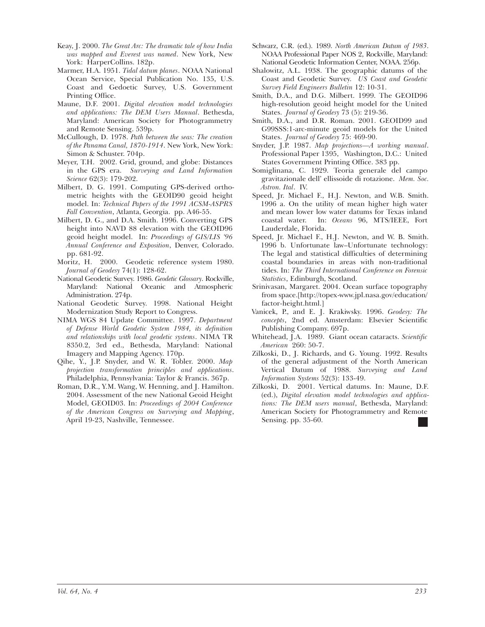- Keay, J. 2000. *The Great Arc: The dramatic tale of how India was mapped and Everest was named*. New York, New York: HarperCollins. 182p.
- Marmer, H.A. 1951. *Tidal datum planes*. NOAA National Ocean Service, Special Publication No. 135, U.S. Coast and Gedoetic Survey, U.S. Government Printing Office.
- Maune, D.F. 2001. *Digital elevation model technologies and applications: The DEM Users Manual*. Bethesda, Maryland: American Society for Photogrammetry and Remote Sensing. 539p.
- McCullough, D. 1978. *Path between the seas: The creation of the Panama Canal, 1870-1914*. New York, New York: Simon & Schuster. 704p.
- Meyer, T.H. 2002. Grid, ground, and globe: Distances in the GPS era. *Surveying and Land Information Science* 62(3): 179-202.
- Milbert, D. G. 1991. Computing GPS-derived orthometric heights with the GEOID90 geoid height model. In: *Technical Papers of the 1991 ACSM-ASPRS Fall Convention*, Atlanta, Georgia. pp. A46-55.
- Milbert, D. G., and D.A. Smith. 1996. Converting GPS height into NAVD 88 elevation with the GEOID96 geoid height model. In: *Proceedings of GIS/LIS '96 Annual Conference and Exposition*, Denver, Colorado. pp. 681-92.
- Moritz, H. 2000. Geodetic reference system 1980. *Journal of Geodesy* 74(1): 128-62.
- National Geodetic Survey. 1986. *Geodetic Glossary*. Rockville, Maryland: National Oceanic and Atmospheric Administration. 274p.
- National Geodetic Survey. 1998. National Height Modernization Study Report to Congress.
- NIMA WGS 84 Update Committee. 1997. *Department of Defense World Geodetic System 1984, its definition and relationships with local geodetic systems*. NIMA TR 8350.2, 3rd ed., Bethesda, Maryland: National Imagery and Mapping Agency. 170p.
- Qihe, Y., J.P. Snyder, and W. R. Tobler. 2000. *Map projection transformation principles and applications*. Philadelphia, Pennsylvania: Taylor & Francis. 367p.
- Roman, D.R., Y.M. Wang, W. Henning, and J. Hamilton. 2004. Assessment of the new National Geoid Height Model, GEOID03. In: *Proceedings of 2004 Conference of the American Congress on Surveying and Mapping*, April 19-23, Nashville, Tennessee.
- Schwarz, C.R. (ed.). 1989. *North American Datum of 1983*. NOAA Professional Paper NOS 2, Rockville, Maryland: National Geodetic Information Center, NOAA. 256p.
- Shalowitz, A.L. 1938. The geographic datums of the Coast and Geodetic Survey. *US Coast and Geodetic Survey Field Engineers Bulletin* 12: 10-31.
- Smith, D.A., and D.G. Milbert. 1999. The GEOID96 high-resolution geoid height model for the United States. *Journal of Geodesy* 73 (5): 219-36.
- Smith, D.A., and D.R. Roman. 2001. GEOID99 and G99SSS:1-arc-minute geoid models for the United States. *Journal of Geodesy* 75: 469-90.
- Snyder, J.P. 1987. *Map projections—A working manual*. Professional Paper 1395, Washington, D.C.: United States Government Printing Office. 383 pp.
- Somiglinana, C. 1929. Teoria generale del campo gravitazionale dell' ellissoide di rotazione. *Mem. Soc. Astron. Ital*. IV.
- Speed, Jr. Michael F., H.J. Newton, and W.B. Smith. 1996 a. On the utility of mean higher high water and mean lower low water datums for Texas inland coastal water. In: *Oceans* 96, MTS/IEEE, Fort Lauderdale, Florida.
- Speed, Jr. Michael F., H.J. Newton, and W. B. Smith. 1996 b. Unfortunate law–Unfortunate technology: The legal and statistical difficulties of determining coastal boundaries in areas with non-traditional tides. In: *The Third International Conference on Forensic Statistics*, Edinburgh, Scotland.
- Srinivasan, Margaret. 2004. Ocean surface topography from space.[http://topex-www.jpl.nasa.gov/education/ factor-height.html.]
- Vanicek, P., and E. J. Krakiwsky. 1996. *Geodesy: The concepts*, 2nd ed. Amsterdam: Elsevier Scientific Publishing Company. 697p.
- Whitehead, J.A. 1989. Giant ocean cataracts. *Scientific American* 260: 50-7.
- Zilkoski, D., J. Richards, and G. Young. 1992. Results of the general adjustment of the North American Vertical Datum of 1988. *Surveying and Land Information Systems* 52(3): 133-49.
- Zilkoski, D. 2001. Vertical datums. In: Maune, D.F. (ed.), *Digital elevation model technologies and applications: The DEM users manual*, Bethesda, Maryland: American Society for Photogrammetry and Remote Sensing. pp. 35-60.